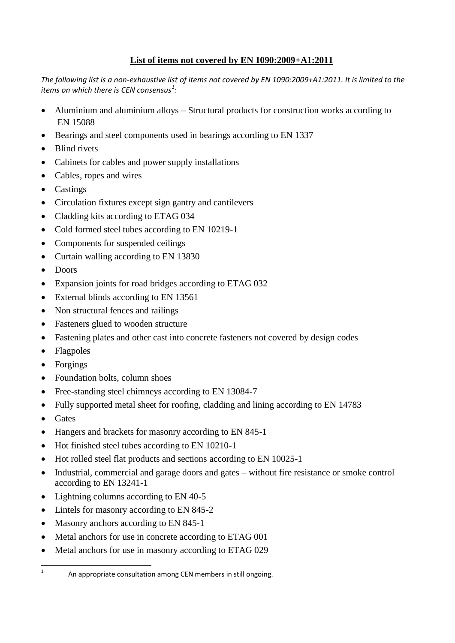## **List of items not covered by EN 1090:2009+A1:2011**

*The following list is a non-exhaustive list of items not covered by EN 1090:2009+A1:2011. It is limited to the items on which there is CEN consensus<sup>1</sup> :*

- Aluminium and aluminium alloys Structural products for construction works according to EN 15088
- Bearings and steel components used in bearings according to EN 1337
- Blind rivets
- Cabinets for cables and power supply installations
- Cables, ropes and wires
- Castings
- Circulation fixtures except sign gantry and cantilevers
- Cladding kits according to ETAG 034
- Cold formed steel tubes according to EN 10219-1
- Components for suspended ceilings
- Curtain walling according to EN 13830
- Doors
- Expansion joints for road bridges according to ETAG 032
- External blinds according to EN 13561
- Non structural fences and railings
- Fasteners glued to wooden structure
- Fastening plates and other cast into concrete fasteners not covered by design codes
- Flagpoles
- Forgings
- Foundation bolts, column shoes
- Free-standing steel chimneys according to EN 13084-7
- Fully supported metal sheet for roofing, cladding and lining according to EN 14783
- Gates

 $\frac{1}{1}$ 

- Hangers and brackets for masonry according to EN 845-1
- Hot finished steel tubes according to EN 10210-1
- Hot rolled steel flat products and sections according to EN 10025-1
- Industrial, commercial and garage doors and gates without fire resistance or smoke control according to EN 13241-1
- Lightning columns according to EN 40-5
- Lintels for masonry according to EN 845-2
- Masonry anchors according to EN 845-1
- Metal anchors for use in concrete according to ETAG 001
- Metal anchors for use in masonry according to ETAG 029

An appropriate consultation among CEN members in still ongoing.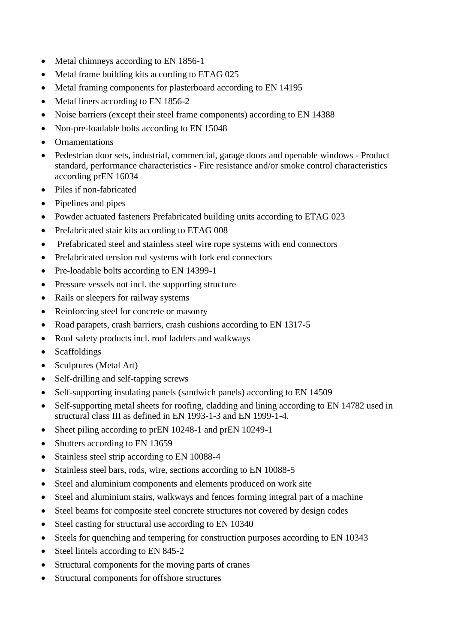- Metal chimneys according to EN 1856-1
- Metal frame building kits according to ETAG 025
- Metal framing components for plasterboard according to EN 14195
- Metal liners according to EN 1856-2
- Noise barriers (except their steel frame components) according to EN 14388
- Non-pre-loadable bolts according to EN 15048
- Ornamentations
- Pedestrian door sets, industrial, commercial, garage doors and openable windows Product standard, performance characteristics - Fire resistance and/or smoke control characteristics according prEN 16034
- Piles if non-fabricated
- Pipelines and pipes
- Powder actuated fasteners Prefabricated building units according to ETAG 023
- Prefabricated stair kits according to ETAG 008
- Prefabricated steel and stainless steel wire rope systems with end connectors
- Prefabricated tension rod systems with fork end connectors
- Pre-loadable bolts according to EN 14399-1
- Pressure vessels not incl. the supporting structure
- Rails or sleepers for railway systems
- Reinforcing steel for concrete or masonry
- Road parapets, crash barriers, crash cushions according to EN 1317-5
- Roof safety products incl. roof ladders and walkways
- Scaffoldings
- Sculptures (Metal Art)
- Self-drilling and self-tapping screws
- Self-supporting insulating panels (sandwich panels) according to EN 14509
- Self-supporting metal sheets for roofing, cladding and lining according to EN 14782 used in structural class III as defined in EN 1993-1-3 and EN 1999-1-4.
- Sheet piling according to prEN 10248-1 and prEN 10249-1
- Shutters according to EN 13659
- Stainless steel strip according to EN 10088-4
- Stainless steel bars, rods, wire, sections according to EN 10088-5
- Steel and aluminium components and elements produced on work site
- Steel and aluminium stairs, walkways and fences forming integral part of a machine
- Steel beams for composite steel concrete structures not covered by design codes
- Steel casting for structural use according to EN 10340
- Steels for quenching and tempering for construction purposes according to EN 10343
- Steel lintels according to EN 845-2
- Structural components for the moving parts of cranes
- Structural components for offshore structures